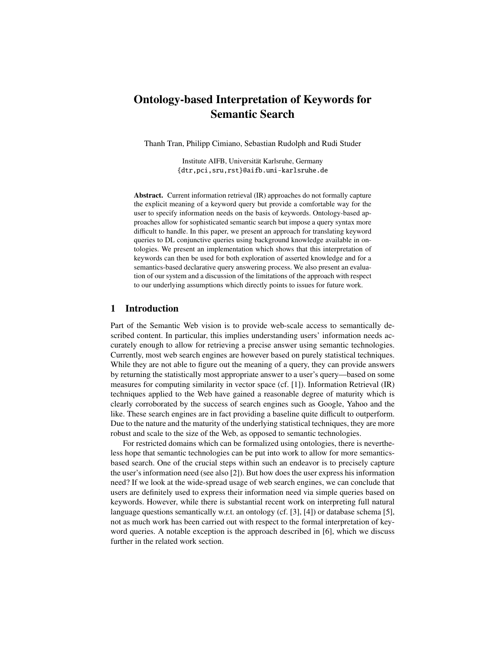# Ontology-based Interpretation of Keywords for Semantic Search

Thanh Tran, Philipp Cimiano, Sebastian Rudolph and Rudi Studer

Institute AIFB, Universität Karlsruhe, Germany {dtr,pci,sru,rst}@aifb.uni-karlsruhe.de

Abstract. Current information retrieval (IR) approaches do not formally capture the explicit meaning of a keyword query but provide a comfortable way for the user to specify information needs on the basis of keywords. Ontology-based approaches allow for sophisticated semantic search but impose a query syntax more difficult to handle. In this paper, we present an approach for translating keyword queries to DL conjunctive queries using background knowledge available in ontologies. We present an implementation which shows that this interpretation of keywords can then be used for both exploration of asserted knowledge and for a semantics-based declarative query answering process. We also present an evaluation of our system and a discussion of the limitations of the approach with respect to our underlying assumptions which directly points to issues for future work.

### 1 Introduction

Part of the Semantic Web vision is to provide web-scale access to semantically described content. In particular, this implies understanding users' information needs accurately enough to allow for retrieving a precise answer using semantic technologies. Currently, most web search engines are however based on purely statistical techniques. While they are not able to figure out the meaning of a query, they can provide answers by returning the statistically most appropriate answer to a user's query—based on some measures for computing similarity in vector space (cf. [1]). Information Retrieval (IR) techniques applied to the Web have gained a reasonable degree of maturity which is clearly corroborated by the success of search engines such as Google, Yahoo and the like. These search engines are in fact providing a baseline quite difficult to outperform. Due to the nature and the maturity of the underlying statistical techniques, they are more robust and scale to the size of the Web, as opposed to semantic technologies.

For restricted domains which can be formalized using ontologies, there is nevertheless hope that semantic technologies can be put into work to allow for more semanticsbased search. One of the crucial steps within such an endeavor is to precisely capture the user's information need (see also [2]). But how does the user express his information need? If we look at the wide-spread usage of web search engines, we can conclude that users are definitely used to express their information need via simple queries based on keywords. However, while there is substantial recent work on interpreting full natural language questions semantically w.r.t. an ontology (cf. [3], [4]) or database schema [5], not as much work has been carried out with respect to the formal interpretation of keyword queries. A notable exception is the approach described in [6], which we discuss further in the related work section.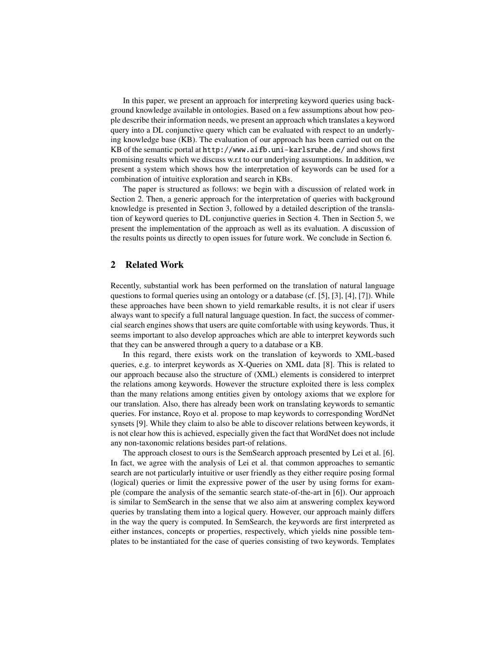In this paper, we present an approach for interpreting keyword queries using background knowledge available in ontologies. Based on a few assumptions about how people describe their information needs, we present an approach which translates a keyword query into a DL conjunctive query which can be evaluated with respect to an underlying knowledge base (KB). The evaluation of our approach has been carried out on the KB of the semantic portal at http://www.aifb.uni-karlsruhe.de/ and shows first promising results which we discuss w.r.t to our underlying assumptions. In addition, we present a system which shows how the interpretation of keywords can be used for a combination of intuitive exploration and search in KBs.

The paper is structured as follows: we begin with a discussion of related work in Section 2. Then, a generic approach for the interpretation of queries with background knowledge is presented in Section 3, followed by a detailed description of the translation of keyword queries to DL conjunctive queries in Section 4. Then in Section 5, we present the implementation of the approach as well as its evaluation. A discussion of the results points us directly to open issues for future work. We conclude in Section 6.

# 2 Related Work

Recently, substantial work has been performed on the translation of natural language questions to formal queries using an ontology or a database (cf. [5], [3], [4], [7]). While these approaches have been shown to yield remarkable results, it is not clear if users always want to specify a full natural language question. In fact, the success of commercial search engines shows that users are quite comfortable with using keywords. Thus, it seems important to also develop approaches which are able to interpret keywords such that they can be answered through a query to a database or a KB.

In this regard, there exists work on the translation of keywords to XML-based queries, e.g. to interpret keywords as X-Queries on XML data [8]. This is related to our approach because also the structure of (XML) elements is considered to interpret the relations among keywords. However the structure exploited there is less complex than the many relations among entities given by ontology axioms that we explore for our translation. Also, there has already been work on translating keywords to semantic queries. For instance, Royo et al. propose to map keywords to corresponding WordNet synsets [9]. While they claim to also be able to discover relations between keywords, it is not clear how this is achieved, especially given the fact that WordNet does not include any non-taxonomic relations besides part-of relations.

The approach closest to ours is the SemSearch approach presented by Lei et al. [6]. In fact, we agree with the analysis of Lei et al. that common approaches to semantic search are not particularly intuitive or user friendly as they either require posing formal (logical) queries or limit the expressive power of the user by using forms for example (compare the analysis of the semantic search state-of-the-art in [6]). Our approach is similar to SemSearch in the sense that we also aim at answering complex keyword queries by translating them into a logical query. However, our approach mainly differs in the way the query is computed. In SemSearch, the keywords are first interpreted as either instances, concepts or properties, respectively, which yields nine possible templates to be instantiated for the case of queries consisting of two keywords. Templates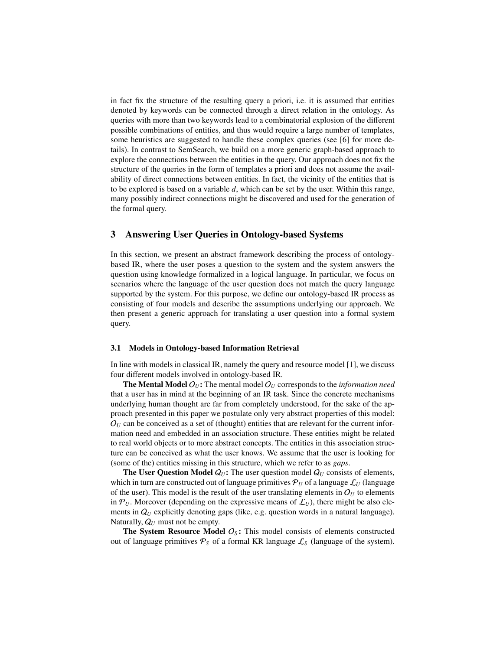in fact fix the structure of the resulting query a priori, i.e. it is assumed that entities denoted by keywords can be connected through a direct relation in the ontology. As queries with more than two keywords lead to a combinatorial explosion of the different possible combinations of entities, and thus would require a large number of templates, some heuristics are suggested to handle these complex queries (see [6] for more details). In contrast to SemSearch, we build on a more generic graph-based approach to explore the connections between the entities in the query. Our approach does not fix the structure of the queries in the form of templates a priori and does not assume the availability of direct connections between entities. In fact, the vicinity of the entities that is to be explored is based on a variable *d*, which can be set by the user. Within this range, many possibly indirect connections might be discovered and used for the generation of the formal query.

# 3 Answering User Queries in Ontology-based Systems

In this section, we present an abstract framework describing the process of ontologybased IR, where the user poses a question to the system and the system answers the question using knowledge formalized in a logical language. In particular, we focus on scenarios where the language of the user question does not match the query language supported by the system. For this purpose, we define our ontology-based IR process as consisting of four models and describe the assumptions underlying our approach. We then present a generic approach for translating a user question into a formal system query.

#### 3.1 Models in Ontology-based Information Retrieval

In line with models in classical IR, namely the query and resource model [1], we discuss four different models involved in ontology-based IR.

**The Mental Model**  $O_U$ **:** The mental model  $O_U$  corresponds to the *information need* that a user has in mind at the beginning of an IR task. Since the concrete mechanisms underlying human thought are far from completely understood, for the sake of the approach presented in this paper we postulate only very abstract properties of this model:  $O_U$  can be conceived as a set of (thought) entities that are relevant for the current information need and embedded in an association structure. These entities might be related to real world objects or to more abstract concepts. The entities in this association structure can be conceived as what the user knows. We assume that the user is looking for (some of the) entities missing in this structure, which we refer to as *gaps*.

**The User Question Model**  $Q_U$ **:** The user question model  $Q_U$  consists of elements, which in turn are constructed out of language primitives  $P_U$  of a language  $\mathcal{L}_U$  (language of the user). This model is the result of the user translating elements in  $O_U$  to elements in  $P_U$ . Moreover (depending on the expressive means of  $\mathcal{L}_U$ ), there might be also elements in  $Q_U$  explicitly denoting gaps (like, e.g. question words in a natural language). Naturally, Q*<sup>U</sup>* must not be empty.

**The System Resource Model**  $O_S$ **:** This model consists of elements constructed out of language primitives  $P_S$  of a formal KR language  $\mathcal{L}_S$  (language of the system).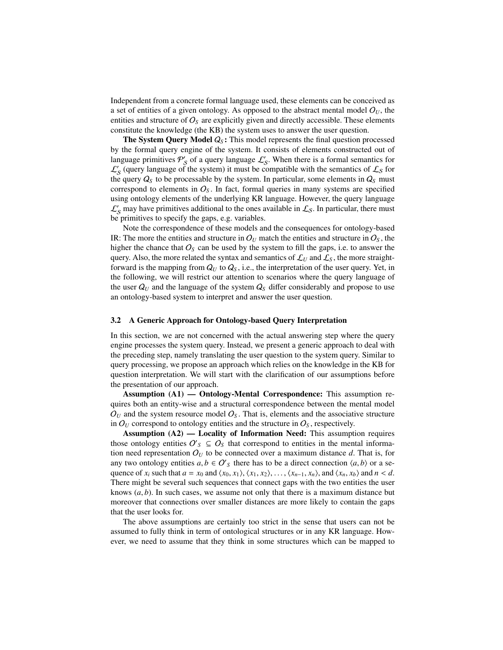Independent from a concrete formal language used, these elements can be conceived as a set of entities of a given ontology. As opposed to the abstract mental model  $O_U$ , the entities and structure of  $O<sub>S</sub>$  are explicitly given and directly accessible. These elements constitute the knowledge (the KB) the system uses to answer the user question.

**The System Query Model**  $Q_S$ **:** This model represents the final question processed by the formal query engine of the system. It consists of elements constructed out of language primitives  $P'_{\mathcal{S}}$  of a query language  $\mathcal{L}'_{\mathcal{S}}$ . When there is a formal semantics for  $\mathcal{L}'_S$  (query language of the system) it must be compatible with the semantics of  $\mathcal{L}_S$  for the query  $Q_S$  to be processable by the system. In particular, some elements in  $Q_S$  must correspond to elements in  $O<sub>S</sub>$ . In fact, formal queries in many systems are specified using ontology elements of the underlying KR language. However, the query language  $\mathcal{L}'_S$  may have primitives additional to the ones available in  $\mathcal{L}_S$ . In particular, there must be primitives to specify the gaps, e.g. variables.

Note the correspondence of these models and the consequences for ontology-based IR: The more the entities and structure in  $O_U$  match the entities and structure in  $O_S$ , the higher the chance that  $O<sub>S</sub>$  can be used by the system to fill the gaps, i.e. to answer the query. Also, the more related the syntax and semantics of  $\mathcal{L}_U$  and  $\mathcal{L}_S$ , the more straightforward is the mapping from  $Q_U$  to  $Q_S$ , i.e., the interpretation of the user query. Yet, in the following, we will restrict our attention to scenarios where the query language of the user  $Q_U$  and the language of the system  $Q_S$  differ considerably and propose to use an ontology-based system to interpret and answer the user question.

#### 3.2 A Generic Approach for Ontology-based Query Interpretation

In this section, we are not concerned with the actual answering step where the query engine processes the system query. Instead, we present a generic approach to deal with the preceding step, namely translating the user question to the system query. Similar to query processing, we propose an approach which relies on the knowledge in the KB for question interpretation. We will start with the clarification of our assumptions before the presentation of our approach.

Assumption (A1) — Ontology-Mental Correspondence: This assumption requires both an entity-wise and a structural correspondence between the mental model  $O_U$  and the system resource model  $O_S$ . That is, elements and the associative structure in  $O_U$  correspond to ontology entities and the structure in  $O_S$ , respectively.

Assumption (A2) — Locality of Information Need: This assumption requires those ontology entities  $O'_s \subseteq O_s$  that correspond to entities in the mental information need representation  $O_U$  to be connected over a maximum distance  $d$ . That is, for any two ontology entities  $a, b \in O'$ <sub>S</sub> there has to be a direct connection  $\langle a, b \rangle$  or a se-<br>quence of x, such that  $a = x_0$  and  $\langle x_0, x_1 \rangle$   $\langle x_1, x_2 \rangle$  and  $\langle x_2, x_3 \rangle$  and  $\langle x_3, x_4 \rangle$ quence of  $x_i$  such that  $a = x_0$  and  $\langle x_0, x_1 \rangle, \langle x_1, x_2 \rangle, \ldots, \langle x_{n-1}, x_n \rangle$ , and  $\langle x_n, x_b \rangle$  and  $n < d$ . There might be several such sequences that connect gaps with the two entities the user knows  $(a, b)$ . In such cases, we assume not only that there is a maximum distance but moreover that connections over smaller distances are more likely to contain the gaps that the user looks for.

The above assumptions are certainly too strict in the sense that users can not be assumed to fully think in term of ontological structures or in any KR language. However, we need to assume that they think in some structures which can be mapped to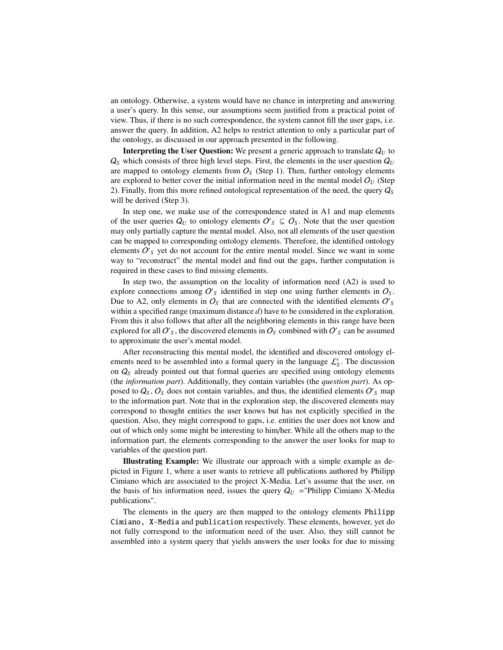an ontology. Otherwise, a system would have no chance in interpreting and answering a user's query. In this sense, our assumptions seem justified from a practical point of view. Thus, if there is no such correspondence, the system cannot fill the user gaps, i.e. answer the query. In addition, A2 helps to restrict attention to only a particular part of the ontology, as discussed in our approach presented in the following.

**Interpreting the User Question:** We present a generic approach to translate  $Q_U$  to  $Q<sub>S</sub>$  which consists of three high level steps. First, the elements in the user question  $Q<sub>U</sub>$ are mapped to ontology elements from  $O<sub>S</sub>$  (Step 1). Then, further ontology elements are explored to better cover the initial information need in the mental model  $O<sub>U</sub>$  (Step 2). Finally, from this more refined ontological representation of the need, the query  $Q_S$ will be derived (Step 3).

In step one, we make use of the correspondence stated in A1 and map elements of the user queries  $Q_U$  to ontology elements  $O'_S \subseteq O_S$ . Note that the user question may only partially capture the mental model. Also, not all elements of the user question can be mapped to corresponding ontology elements. Therefore, the identified ontology elements  $O'_{S}$  yet do not account for the entire mental model. Since we want in some way to "reconstruct" the mental model and find out the gaps, further computation is required in these cases to find missing elements.

In step two, the assumption on the locality of information need (A2) is used to explore connections among  $O'_{S}$  identified in step one using further elements in  $O_{S}$ . Due to A2, only elements in  $O_s$  that are connected with the identified elements  $O'_s$ within a specified range (maximum distance *d*) have to be considered in the exploration. From this it also follows that after all the neighboring elements in this range have been explored for all  $O'_{\mathcal{S}}$ , the discovered elements in  $O_{\mathcal{S}}$  combined with  $O'_{\mathcal{S}}$  can be assumed to approximate the user's mental model.

After reconstructing this mental model, the identified and discovered ontology elements need to be assembled into a formal query in the language  $\mathcal{L}'_S$ . The discussion on Q*<sup>S</sup>* already pointed out that formal queries are specified using ontology elements (the *information part*). Additionally, they contain variables (the *question part*). As opposed to  $Q_S$ ,  $O_S$  does not contain variables, and thus, the identified elements  $O'_S$  map to the information part. Note that in the exploration step, the discovered elements may correspond to thought entities the user knows but has not explicitly specified in the question. Also, they might correspond to gaps, i.e. entities the user does not know and out of which only some might be interesting to him/her. While all the others map to the information part, the elements corresponding to the answer the user looks for map to variables of the question part.

Illustrating Example: We illustrate our approach with a simple example as depicted in Figure 1, where a user wants to retrieve all publications authored by Philipp Cimiano which are associated to the project X-Media. Let's assume that the user, on the basis of his information need, issues the query  $Q_U$  = "Philipp Cimiano X-Media publications".

The elements in the query are then mapped to the ontology elements Philipp Cimiano, X-Media and publication respectively. These elements, however, yet do not fully correspond to the information need of the user. Also, they still cannot be assembled into a system query that yields answers the user looks for due to missing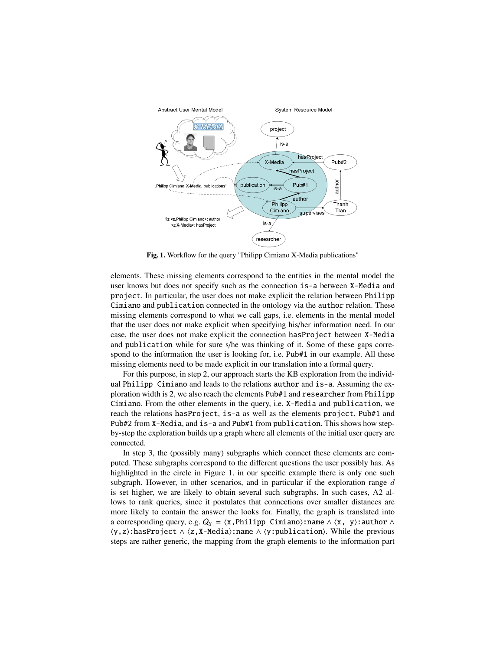

Fig. 1. Workflow for the query "Philipp Cimiano X-Media publications"

elements. These missing elements correspond to the entities in the mental model the user knows but does not specify such as the connection is-a between X-Media and project. In particular, the user does not make explicit the relation between Philipp Cimiano and publication connected in the ontology via the author relation. These missing elements correspond to what we call gaps, i.e. elements in the mental model that the user does not make explicit when specifying his/her information need. In our case, the user does not make explicit the connection hasProject between X-Media and publication while for sure s/he was thinking of it. Some of these gaps correspond to the information the user is looking for, i.e. Pub#1 in our example. All these missing elements need to be made explicit in our translation into a formal query.

For this purpose, in step 2, our approach starts the KB exploration from the individual Philipp Cimiano and leads to the relations author and is-a. Assuming the exploration width is 2, we also reach the elements Pub#1 and researcher from Philipp Cimiano. From the other elements in the query, i.e. X-Media and publication, we reach the relations hasProject, is-a as well as the elements project, Pub#1 and Pub#2 from X-Media, and is-a and Pub#1 from publication. This shows how stepby-step the exploration builds up a graph where all elements of the initial user query are connected.

In step 3, the (possibly many) subgraphs which connect these elements are computed. These subgraphs correspond to the different questions the user possibly has. As highlighted in the circle in Figure 1, in our specific example there is only one such subgraph. However, in other scenarios, and in particular if the exploration range *d* is set higher, we are likely to obtain several such subgraphs. In such cases, A2 allows to rank queries, since it postulates that connections over smaller distances are more likely to contain the answer the looks for. Finally, the graph is translated into a corresponding query, e.g.  $Q_S = \langle x, \text{Philipp Ciminano} \rangle:$ name ∧  $\langle x, y \rangle:$ author ∧  $\langle y, z \rangle$ :hasProject ∧  $\langle z, X-Media \rangle$ :name ∧  $\langle y:publication \rangle$ . While the previous steps are rather generic, the mapping from the graph elements to the information part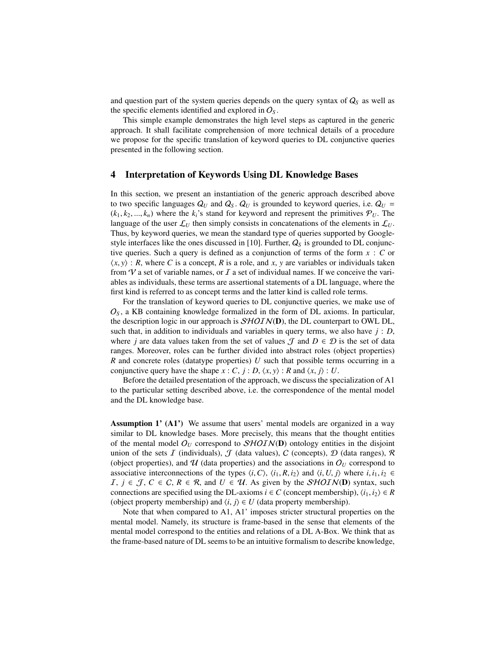and question part of the system queries depends on the query syntax of Q*<sup>S</sup>* as well as the specific elements identified and explored in  $O<sub>S</sub>$ .

This simple example demonstrates the high level steps as captured in the generic approach. It shall facilitate comprehension of more technical details of a procedure we propose for the specific translation of keyword queries to DL conjunctive queries presented in the following section.

## 4 Interpretation of Keywords Using DL Knowledge Bases

In this section, we present an instantiation of the generic approach described above to two specific languages  $Q_U$  and  $Q_S$ .  $Q_U$  is grounded to keyword queries, i.e.  $Q_U$  =  $(k_1, k_2, ..., k_n)$  where the  $k_i$ 's stand for keyword and represent the primitives  $P_U$ . The language of the user  $\mathcal{L}_U$  then simply consists in concatenations of the elements in  $\mathcal{L}_U$ . Thus, by keyword queries, we mean the standard type of queries supported by Googlestyle interfaces like the ones discussed in [10]. Further,  $Q_S$  is grounded to DL conjunctive queries. Such a query is defined as a conjunction of terms of the form *x* : *C* or  $\langle x, y \rangle$ : *R*, where *C* is a concept, *R* is a role, and *x*, *y* are variables or individuals taken from  $\mathcal V$  a set of variable names, or  $\mathcal I$  a set of individual names. If we conceive the variables as individuals, these terms are assertional statements of a DL language, where the first kind is referred to as concept terms and the latter kind is called role terms.

For the translation of keyword queries to DL conjunctive queries, we make use of  $O<sub>S</sub>$ , a KB containing knowledge formalized in the form of DL axioms. In particular, the description logic in our approach is  $SHOIN(D)$ , the DL counterpart to OWL DL, such that, in addition to individuals and variables in query terms, we also have *j* : *D*, where *j* are data values taken from the set of values  $\mathcal{J}$  and  $D \in \mathcal{D}$  is the set of data ranges. Moreover, roles can be further divided into abstract roles (object properties) *R* and concrete roles (datatype properties) *U* such that possible terms occurring in a conjunctive query have the shape  $x : C$ ,  $j : D$ ,  $\langle x, y \rangle : R$  and  $\langle x, j \rangle : U$ .

Before the detailed presentation of the approach, we discuss the specialization of A1 to the particular setting described above, i.e. the correspondence of the mental model and the DL knowledge base.

Assumption 1' (A1') We assume that users' mental models are organized in a way similar to DL knowledge bases. More precisely, this means that the thought entities of the mental model  $O_U$  correspond to  $\mathcal{SHOIN}(\mathbf{D})$  ontology entities in the disjoint union of the sets  $I$  (individuals),  $J$  (data values),  $C$  (concepts),  $D$  (data ranges),  $R$ (object properties), and  $\mathcal U$  (data properties) and the associations in  $O_U$  correspond to associative interconnections of the types  $\langle i, C \rangle$ ,  $\langle i_1, R, i_2 \rangle$  and  $\langle i, U, j \rangle$  where  $i, i_1, i_2 \in$ *I*, *j* ∈ *J*, *C* ∈ *C*, *R* ∈ *R*, and *U* ∈ *U*. As given by the *SHOIN*(**D**) syntax, such connections are specified using the DL-axioms  $i \in C$  (concept membership),  $\langle i_1, i_2 \rangle \in R$ (object property membership) and  $\langle i, j \rangle \in U$  (data property membership).

Note that when compared to A1, A1' imposes stricter structural properties on the mental model. Namely, its structure is frame-based in the sense that elements of the mental model correspond to the entities and relations of a DL A-Box. We think that as the frame-based nature of DL seems to be an intuitive formalism to describe knowledge,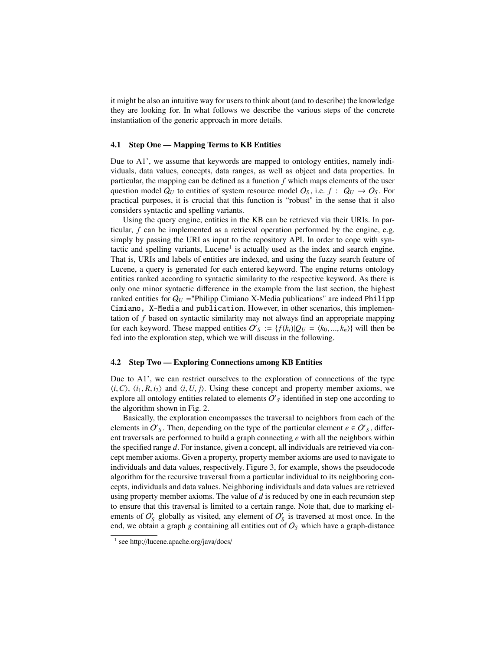it might be also an intuitive way for users to think about (and to describe) the knowledge they are looking for. In what follows we describe the various steps of the concrete instantiation of the generic approach in more details.

#### 4.1 Step One — Mapping Terms to KB Entities

Due to A1', we assume that keywords are mapped to ontology entities, namely individuals, data values, concepts, data ranges, as well as object and data properties. In particular, the mapping can be defined as a function *f* which maps elements of the user question model  $Q_U$  to entities of system resource model  $Q_S$ , i.e.  $f: Q_U \to Q_S$ . For practical purposes, it is crucial that this function is "robust" in the sense that it also considers syntactic and spelling variants.

Using the query engine, entities in the KB can be retrieved via their URIs. In particular, *f* can be implemented as a retrieval operation performed by the engine, e.g. simply by passing the URI as input to the repository API. In order to cope with syntactic and spelling variants, Lucene<sup>1</sup> is actually used as the index and search engine. That is, URIs and labels of entities are indexed, and using the fuzzy search feature of Lucene, a query is generated for each entered keyword. The engine returns ontology entities ranked according to syntactic similarity to the respective keyword. As there is only one minor syntactic difference in the example from the last section, the highest ranked entities for  $Q_U$  = "Philipp Cimiano X-Media publications" are indeed Philipp Cimiano, X-Media and publication. However, in other scenarios, this implementation of *f* based on syntactic similarity may not always find an appropriate mapping for each keyword. These mapped entities  $O'_{S} := \{f(k_i)|Q_U = \langle k_0, ..., k_n \rangle\}$  will then be fed into the exploration step, which we will discuss in the following fed into the exploration step, which we will discuss in the following.

#### 4.2 Step Two — Exploring Connections among KB Entities

Due to A1', we can restrict ourselves to the exploration of connections of the type  $\langle i, C \rangle$ ,  $\langle i_1, R, i_2 \rangle$  and  $\langle i, U, j \rangle$ . Using these concept and property member axioms, we explore all ontology entities related to elements  $\overline{\mathcal{O}}_S$  identified in step one according to the algorithm shown in Fig. 2.

Basically, the exploration encompasses the traversal to neighbors from each of the elements in  $O'_{S}$ . Then, depending on the type of the particular element  $e \in O'_{S}$ , different traversals are performed to build a graph connecting *e* with all the neighbors within the specified range *d*. For instance, given a concept, all individuals are retrieved via concept member axioms. Given a property, property member axioms are used to navigate to individuals and data values, respectively. Figure 3, for example, shows the pseudocode algorithm for the recursive traversal from a particular individual to its neighboring concepts, individuals and data values. Neighboring individuals and data values are retrieved using property member axioms. The value of *d* is reduced by one in each recursion step to ensure that this traversal is limited to a certain range. Note that, due to marking elements of  $O'_{S}$  globally as visited, any element of  $O'_{S}$  is traversed at most once. In the end, we obtain a graph  $g$  containing all entities out of  $O<sub>S</sub>$  which have a graph-distance

<sup>1</sup> see http://lucene.apache.org/java/docs/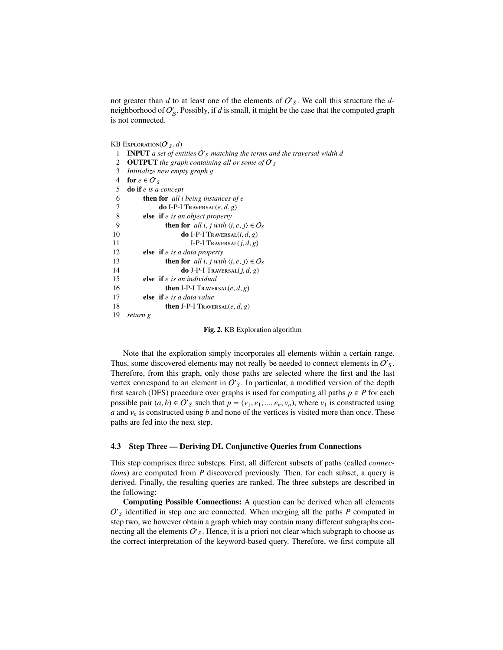not greater than  $d$  to at least one of the elements of  $O<sub>S</sub>$ . We call this structure the  $d$ neighborhood of  $O'_{\mathcal{S}}$ . Possibly, if *d* is small, it might be the case that the computed graph is not connected.

**KB** EXPLORATION( $O'_{S}, d$ )

| 1  | <b>INPUT</b> a set of entities $O'_{s}$ matching the terms and the traversal width d |
|----|--------------------------------------------------------------------------------------|
| 2  | <b>OUTPUT</b> the graph containing all or some of $O'_{\text{S}}$                    |
| 3  | Intitialize new empty graph g                                                        |
| 4  | for $e \in O's$                                                                      |
| 5  | <b>do if</b> $e$ is a concept                                                        |
| 6  | <b>then for</b> all <i>i</i> being instances of e                                    |
| 7  | <b>do</b> I-P-I Traversal $(e, d, g)$                                                |
| 8  | <b>else</b> if <i>e</i> is an object property                                        |
| 9  | <b>then for</b> all i, j with $\langle i, e, j \rangle \in O_s$                      |
| 10 | <b>do</b> I-P-I Traversal $(i, d, g)$                                                |
| 11 | I-P-I TRAVERSAL $(i, d, g)$                                                          |
| 12 | <b>else</b> if <i>e</i> is a data property                                           |
| 13 | <b>then for</b> all i, j with $\langle i, e, j \rangle \in O_s$                      |
| 14 | <b>do J-P-I</b> Traversal( $i, d, g$ )                                               |
| 15 | else if $e$ is an individual                                                         |
| 16 | <b>then</b> I-P-I TRAVERSAL $(e, d, g)$                                              |
| 17 | <b>else</b> if $e$ is a data value                                                   |
| 18 | <b>then</b> J-P-I TRAVERSAL $(e, d, g)$                                              |
| 19 | return g                                                                             |
|    |                                                                                      |

Fig. 2. KB Exploration algorithm

Note that the exploration simply incorporates all elements within a certain range. Thus, some discovered elements may not really be needed to connect elements in  $O<sub>S</sub>$ . Therefore, from this graph, only those paths are selected where the first and the last vertex correspond to an element in  $O<sub>S</sub>$ . In particular, a modified version of the depth first search (DFS) procedure over graphs is used for computing all paths  $p \in P$  for each possible pair  $(a, b) \in O'_{S}$  such that  $p = (v_1, e_1, ..., e_n, v_n)$ , where  $v_1$  is constructed using a and *v* is constructed using *h* and pope of the vertices is visited more than once. These *a* and  $v_n$  is constructed using *b* and none of the vertices is visited more than once. These paths are fed into the next step.

# 4.3 Step Three — Deriving DL Conjunctive Queries from Connections

This step comprises three substeps. First, all different subsets of paths (called *connections*) are computed from *P* discovered previously. Then, for each subset, a query is derived. Finally, the resulting queries are ranked. The three substeps are described in the following:

Computing Possible Connections: A question can be derived when all elements  $O'_{\mathcal{S}}$  identified in step one are connected. When merging all the paths  $P$  computed in step two, we however obtain a graph which may contain many different subgraphs connecting all the elements  $O'_{\mathcal{S}}$ . Hence, it is a priori not clear which subgraph to choose as the correct interpretation of the keyword-based query. Therefore, we first compute all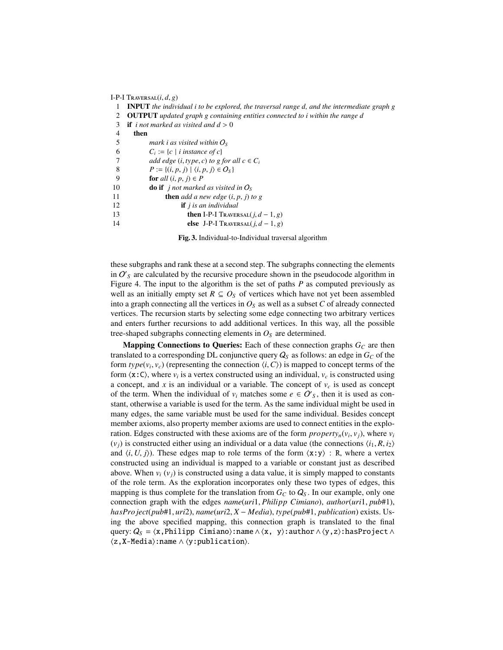|    | I-P-I TRAVERSAL $(i, d, g)$                                                                       |
|----|---------------------------------------------------------------------------------------------------|
| 1  | <b>INPUT</b> the individual i to be explored, the traversal range d, and the intermediate graph g |
| 2  | <b>OUTPUT</b> updated graph g containing entities connected to i within the range d               |
| 3  | <b>if</b> i not marked as visited and $d > 0$                                                     |
| 4  | then                                                                                              |
| 5  | mark i as visited within $O_s$                                                                    |
| 6  | $C_i := \{c \mid i \text{ instance of } c\}$                                                      |
| 7  | add edge (i, type, c) to g for all $c \in C_i$                                                    |
| 8  | $P := \{(i, p, j)   \langle i, p, j \rangle \in O_S\}$                                            |
| 9  | for all $(i, p, j) \in P$                                                                         |
| 10 | <b>do if</b> i not marked as visited in $O_s$                                                     |
| 11 | <b>then</b> add a new edge $(i, p, j)$ to g                                                       |
| 12 | <b>if</b> $i$ is an individual                                                                    |
| 13 | <b>then</b> I-P-I TRAVERSAL( $i, d-1, g$ )                                                        |
| 14 | else J-P-I TRAVERSAL $(i, d - 1, g)$                                                              |
|    |                                                                                                   |

Fig. 3. Individual-to-Individual traversal algorithm

these subgraphs and rank these at a second step. The subgraphs connecting the elements in  $O'_{\mathcal{S}}$  are calculated by the recursive procedure shown in the pseudocode algorithm in Figure 4. The input to the algorithm is the set of paths *P* as computed previously as well as an initially empty set  $R \subseteq O_S$  of vertices which have not yet been assembled into a graph connecting all the vertices in  $O<sub>S</sub>$  as well as a subset *C* of already connected vertices. The recursion starts by selecting some edge connecting two arbitrary vertices and enters further recursions to add additional vertices. In this way, all the possible tree-shaped subgraphs connecting elements in  $O<sub>S</sub>$  are determined.

**Mapping Connections to Queries:** Each of these connection graphs  $G_C$  are then translated to a corresponding DL conjunctive query  $Q_S$  as follows: an edge in  $G_C$  of the form *type*( $v_i$ ,  $v_c$ ) (representing the connection  $\langle i, C \rangle$ ) is mapped to concept terms of the form  $\langle \mathbf{v} \cdot C \rangle$ , where  $v_i$  is a vertex constructed using an individual  $v_j$  is constructed using form  $\langle \mathbf{x}:C \rangle$ , where  $v_i$  is a vertex constructed using an individual,  $v_c$  is constructed using a concept, and *x* is an individual or a variable. The concept of  $v_c$  is used as concept of the term. When the individual of  $v_i$  matches some  $e \in O'_{S}$ , then it is used as constant, otherwise a variable is used for the term. As the same individual might be used in many edges, the same variable must be used for the same individual. Besides concept member axioms, also property member axioms are used to connect entities in the exploration. Edges constructed with these axioms are of the form *property<sub>n</sub>*(*v<sub>i</sub>*, *v<sub>j</sub>*), where *v<sub>i</sub>*<br>(*v)* is constructed either using an individual or a data value (the connections (*i*, *R i*<sub>2</sub>)  $(v_i)$  is constructed either using an individual or a data value (the connections  $\langle i_1, R, i_2 \rangle$ and  $\langle i, U, j \rangle$ ). These edges map to role terms of the form  $\langle x : y \rangle : R$ , where a vertex constructed using an individual is mapped to a variable or constant just as described above. When  $v_i$  ( $v_j$ ) is constructed using a data value, it is simply mapped to constants of the role term. As the exploration incorporates only these two types of edges, this mapping is thus complete for the translation from  $G_C$  to  $Q_S$ . In our example, only one connection graph with the edges *name*(*uri*1, *Philipp Cimiano*), *author*(*uri*1, *pub*#1), *hasPro ject*(*pub*#1, *uri*2), *name*(*uri*2, *<sup>X</sup>* <sup>−</sup> *Media*), *type*(*pub*#1, *publication*) exists. Using the above specified mapping, this connection graph is translated to the final query:  $Q_S = \langle x, \text{Philipp Ciminano}\rangle:$ name  $\land \langle x, y \rangle:$ author  $\land \langle y, z \rangle:$ hasProject  $\land$  $\langle z,X$ -Media):name  $\land \langle y:publication \rangle$ .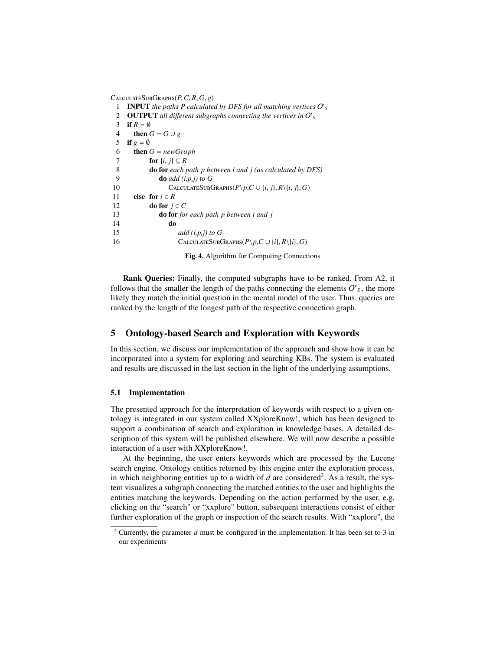```
CALCULATESUBGRAPHS(P, C, R, G, g)1 INPUT the paths P calculated by DFS for all matching vertices \boldsymbol{O}_S2 OUTPUT all different subgraphs connecting the vertices in \mathcal{O}_S3 if R = \emptyset4 then G = G \cup g5 if g = \emptyset6 then G = newGraph7 for \{i, j\} \subseteq R<br>8 do for each p
             8 do for each path p between i and j (as calculated by DFS)
 9 do add (i,p,j) to G
10 CALCULATESUBGRAPHS(P \backslash p, C \cup \{i, j\}, R \backslash \{i, j\}, G)<br>11 else for i \in Relse for i \in R12 do for i \in C13 do for for each path p between i and j
14 do
15 add (i,p,j) to G
16 CALCULATESUBGRAPHS(P \setminus p, C \cup \{i\}, R \setminus \{i\}, G)
```
Fig. 4. Algorithm for Computing Connections

Rank Queries: Finally, the computed subgraphs have to be ranked. From A2, it follows that the smaller the length of the paths connecting the elements  $O'_{\mathcal{S}}$ , the more likely they match the initial question in the mental model of the user. Thus, queries are ranked by the length of the longest path of the respective connection graph.

# 5 Ontology-based Search and Exploration with Keywords

In this section, we discuss our implementation of the approach and show how it can be incorporated into a system for exploring and searching KBs. The system is evaluated and results are discussed in the last section in the light of the underlying assumptions.

## 5.1 Implementation

The presented approach for the interpretation of keywords with respect to a given ontology is integrated in our system called XXploreKnow!, which has been designed to support a combination of search and exploration in knowledge bases. A detailed description of this system will be published elsewhere. We will now describe a possible interaction of a user with XXploreKnow!.

At the beginning, the user enters keywords which are processed by the Lucene search engine. Ontology entities returned by this engine enter the exploration process, in which neighboring entities up to a width of  $d$  are considered<sup>2</sup>. As a result, the system visualizes a subgraph connecting the matched entities to the user and highlights the entities matching the keywords. Depending on the action performed by the user, e.g. clicking on the "search" or "xxplore" button, subsequent interactions consist of either further exploration of the graph or inspection of the search results. With "xxplore", the

<sup>&</sup>lt;sup>2</sup> Currently, the parameter *d* must be configured in the implementation. It has been set to 3 in our experiments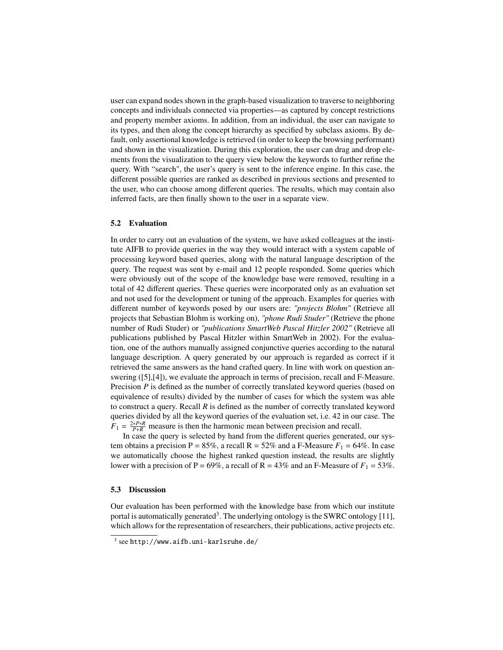user can expand nodes shown in the graph-based visualization to traverse to neighboring concepts and individuals connected via properties—as captured by concept restrictions and property member axioms. In addition, from an individual, the user can navigate to its types, and then along the concept hierarchy as specified by subclass axioms. By default, only assertional knowledge is retrieved (in order to keep the browsing performant) and shown in the visualization. During this exploration, the user can drag and drop elements from the visualization to the query view below the keywords to further refine the query. With "search", the user's query is sent to the inference engine. In this case, the different possible queries are ranked as described in previous sections and presented to the user, who can choose among different queries. The results, which may contain also inferred facts, are then finally shown to the user in a separate view.

#### 5.2 Evaluation

In order to carry out an evaluation of the system, we have asked colleagues at the institute AIFB to provide queries in the way they would interact with a system capable of processing keyword based queries, along with the natural language description of the query. The request was sent by e-mail and 12 people responded. Some queries which were obviously out of the scope of the knowledge base were removed, resulting in a total of 42 different queries. These queries were incorporated only as an evaluation set and not used for the development or tuning of the approach. Examples for queries with different number of keywords posed by our users are: *"projects Blohm"* (Retrieve all projects that Sebastian Blohm is working on), *"phone Rudi Studer"* (Retrieve the phone number of Rudi Studer) or *"publications SmartWeb Pascal Hitzler 2002"* (Retrieve all publications published by Pascal Hitzler within SmartWeb in 2002). For the evaluation, one of the authors manually assigned conjunctive queries according to the natural language description. A query generated by our approach is regarded as correct if it retrieved the same answers as the hand crafted query. In line with work on question answering ([5],[4]), we evaluate the approach in terms of precision, recall and F-Measure. Precision *P* is defined as the number of correctly translated keyword queries (based on equivalence of results) divided by the number of cases for which the system was able to construct a query. Recall *R* is defined as the number of correctly translated keyword queries divided by all the keyword queries of the evaluation set, i.e. 42 in our case. The  $F_1 = \frac{2 * P * R}{P + R}$  measure is then the harmonic mean between precision and recall.

In case the query is selected by hand from the different queries generated, our system obtains a precision  $P = 85\%$ , a recall  $R = 52\%$  and a F-Measure  $F_1 = 64\%$ . In case we automatically choose the highest ranked question instead, the results are slightly lower with a precision of P = 69%, a recall of R = 43% and an F-Measure of  $F_1 = 53\%$ .

#### 5.3 Discussion

Our evaluation has been performed with the knowledge base from which our institute portal is automatically generated<sup>3</sup>. The underlying ontology is the SWRC ontology [11], which allows for the representation of researchers, their publications, active projects etc.

 $3$  see http://www.aifb.uni-karlsruhe.de/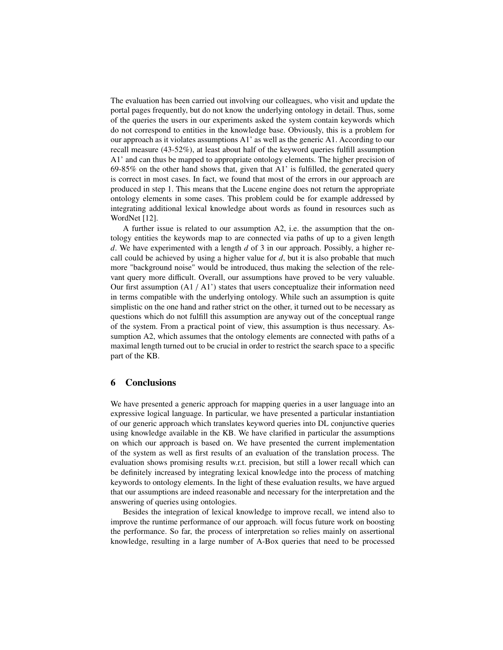The evaluation has been carried out involving our colleagues, who visit and update the portal pages frequently, but do not know the underlying ontology in detail. Thus, some of the queries the users in our experiments asked the system contain keywords which do not correspond to entities in the knowledge base. Obviously, this is a problem for our approach as it violates assumptions A1' as well as the generic A1. According to our recall measure (43-52%), at least about half of the keyword queries fulfill assumption A1' and can thus be mapped to appropriate ontology elements. The higher precision of  $69-85\%$  on the other hand shows that, given that A1' is fulfilled, the generated query is correct in most cases. In fact, we found that most of the errors in our approach are produced in step 1. This means that the Lucene engine does not return the appropriate ontology elements in some cases. This problem could be for example addressed by integrating additional lexical knowledge about words as found in resources such as WordNet [12].

A further issue is related to our assumption A2, i.e. the assumption that the ontology entities the keywords map to are connected via paths of up to a given length *d*. We have experimented with a length *d* of 3 in our approach. Possibly, a higher recall could be achieved by using a higher value for  $d$ , but it is also probable that much more "background noise" would be introduced, thus making the selection of the relevant query more difficult. Overall, our assumptions have proved to be very valuable. Our first assumption  $(A1 / A1)$  states that users conceptualize their information need in terms compatible with the underlying ontology. While such an assumption is quite simplistic on the one hand and rather strict on the other, it turned out to be necessary as questions which do not fulfill this assumption are anyway out of the conceptual range of the system. From a practical point of view, this assumption is thus necessary. Assumption A2, which assumes that the ontology elements are connected with paths of a maximal length turned out to be crucial in order to restrict the search space to a specific part of the KB.

## 6 Conclusions

We have presented a generic approach for mapping queries in a user language into an expressive logical language. In particular, we have presented a particular instantiation of our generic approach which translates keyword queries into DL conjunctive queries using knowledge available in the KB. We have clarified in particular the assumptions on which our approach is based on. We have presented the current implementation of the system as well as first results of an evaluation of the translation process. The evaluation shows promising results w.r.t. precision, but still a lower recall which can be definitely increased by integrating lexical knowledge into the process of matching keywords to ontology elements. In the light of these evaluation results, we have argued that our assumptions are indeed reasonable and necessary for the interpretation and the answering of queries using ontologies.

Besides the integration of lexical knowledge to improve recall, we intend also to improve the runtime performance of our approach. will focus future work on boosting the performance. So far, the process of interpretation so relies mainly on assertional knowledge, resulting in a large number of A-Box queries that need to be processed